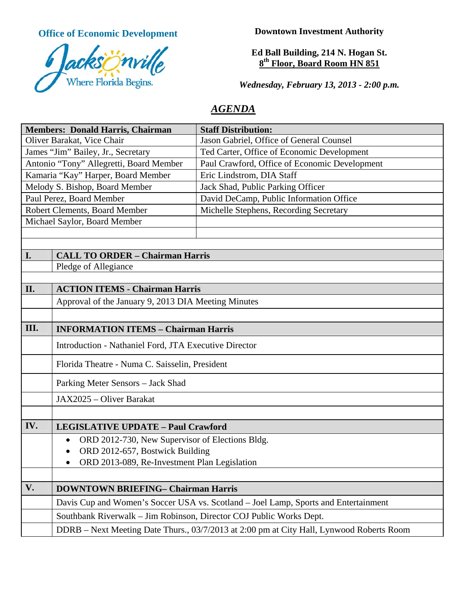**Office of Economic Development**



**Downtown Investment Authority** 

**Ed Ball Building, 214 N. Hogan St. 8th Floor, Board Room HN 851** 

*Wednesday, February 13, 2013 - 2:00 p.m.* 

# *AGENDA*

| <b>Members: Donald Harris, Chairman</b> |                                                                                     | <b>Staff Distribution:</b>                                                               |
|-----------------------------------------|-------------------------------------------------------------------------------------|------------------------------------------------------------------------------------------|
| Oliver Barakat, Vice Chair              |                                                                                     | Jason Gabriel, Office of General Counsel                                                 |
| James "Jim" Bailey, Jr., Secretary      |                                                                                     | Ted Carter, Office of Economic Development                                               |
| Antonio "Tony" Allegretti, Board Member |                                                                                     | Paul Crawford, Office of Economic Development                                            |
| Kamaria "Kay" Harper, Board Member      |                                                                                     | Eric Lindstrom, DIA Staff                                                                |
| Melody S. Bishop, Board Member          |                                                                                     | Jack Shad, Public Parking Officer                                                        |
| Paul Perez, Board Member                |                                                                                     | David DeCamp, Public Information Office                                                  |
| Robert Clements, Board Member           |                                                                                     | Michelle Stephens, Recording Secretary                                                   |
| Michael Saylor, Board Member            |                                                                                     |                                                                                          |
|                                         |                                                                                     |                                                                                          |
|                                         |                                                                                     |                                                                                          |
| I.                                      | <b>CALL TO ORDER - Chairman Harris</b>                                              |                                                                                          |
|                                         | Pledge of Allegiance                                                                |                                                                                          |
|                                         |                                                                                     |                                                                                          |
| II.                                     | <b>ACTION ITEMS - Chairman Harris</b>                                               |                                                                                          |
|                                         | Approval of the January 9, 2013 DIA Meeting Minutes                                 |                                                                                          |
|                                         |                                                                                     |                                                                                          |
| III.                                    | <b>INFORMATION ITEMS - Chairman Harris</b>                                          |                                                                                          |
|                                         | Introduction - Nathaniel Ford, JTA Executive Director                               |                                                                                          |
|                                         | Florida Theatre - Numa C. Saisselin, President                                      |                                                                                          |
|                                         | Parking Meter Sensors - Jack Shad                                                   |                                                                                          |
|                                         | JAX2025 - Oliver Barakat                                                            |                                                                                          |
|                                         |                                                                                     |                                                                                          |
| IV.                                     | <b>LEGISLATIVE UPDATE - Paul Crawford</b>                                           |                                                                                          |
|                                         | ORD 2012-730, New Supervisor of Elections Bldg.<br>$\bullet$                        |                                                                                          |
|                                         | ORD 2012-657, Bostwick Building                                                     |                                                                                          |
|                                         | ORD 2013-089, Re-Investment Plan Legislation                                        |                                                                                          |
|                                         |                                                                                     |                                                                                          |
| V.                                      | <b>DOWNTOWN BRIEFING- Chairman Harris</b>                                           |                                                                                          |
|                                         | Davis Cup and Women's Soccer USA vs. Scotland - Joel Lamp, Sports and Entertainment |                                                                                          |
|                                         | Southbank Riverwalk - Jim Robinson, Director COJ Public Works Dept.                 |                                                                                          |
|                                         |                                                                                     | DDRB - Next Meeting Date Thurs., 03/7/2013 at 2:00 pm at City Hall, Lynwood Roberts Room |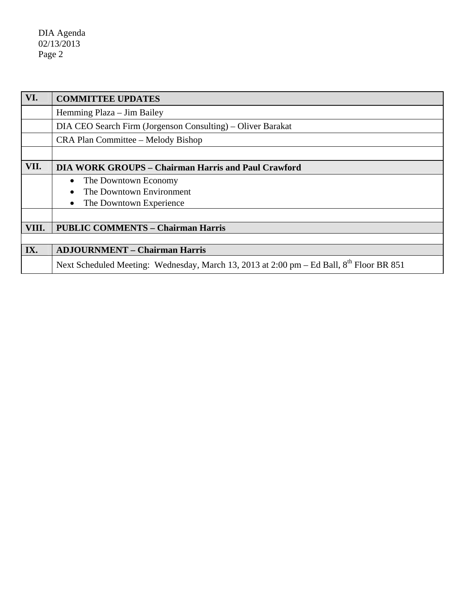DIA Agenda 02/13/2013 Page 2

| VI.   | <b>COMMITTEE UPDATES</b>                                                                             |  |
|-------|------------------------------------------------------------------------------------------------------|--|
|       | Hemming Plaza – Jim Bailey                                                                           |  |
|       | DIA CEO Search Firm (Jorgenson Consulting) – Oliver Barakat                                          |  |
|       | CRA Plan Committee – Melody Bishop                                                                   |  |
|       |                                                                                                      |  |
| VII.  | <b>DIA WORK GROUPS – Chairman Harris and Paul Crawford</b>                                           |  |
|       | The Downtown Economy                                                                                 |  |
|       | The Downtown Environment                                                                             |  |
|       | The Downtown Experience                                                                              |  |
|       |                                                                                                      |  |
| VIII. | <b>PUBLIC COMMENTS - Chairman Harris</b>                                                             |  |
|       |                                                                                                      |  |
| IX.   | <b>ADJOURNMENT - Chairman Harris</b>                                                                 |  |
|       | Next Scheduled Meeting: Wednesday, March 13, 2013 at 2:00 pm – Ed Ball, 8 <sup>th</sup> Floor BR 851 |  |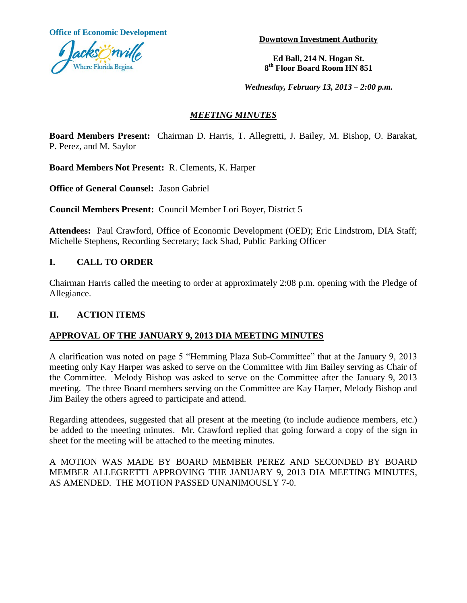**Office of Economic Development**



**Downtown Investment Authority**

**Ed Ball, 214 N. Hogan St. 8 th Floor Board Room HN 851**

*Wednesday, February 13, 2013 – 2:00 p.m.*

## *MEETING MINUTES*

**Board Members Present:** Chairman D. Harris, T. Allegretti, J. Bailey, M. Bishop, O. Barakat, P. Perez, and M. Saylor

**Board Members Not Present:** R. Clements, K. Harper

**Office of General Counsel:** Jason Gabriel

**Council Members Present:** Council Member Lori Boyer, District 5

**Attendees:** Paul Crawford, Office of Economic Development (OED); Eric Lindstrom, DIA Staff; Michelle Stephens, Recording Secretary; Jack Shad, Public Parking Officer

## **I. CALL TO ORDER**

Chairman Harris called the meeting to order at approximately 2:08 p.m. opening with the Pledge of Allegiance.

## **II. ACTION ITEMS**

## **APPROVAL OF THE JANUARY 9, 2013 DIA MEETING MINUTES**

A clarification was noted on page 5 "Hemming Plaza Sub-Committee" that at the January 9, 2013 meeting only Kay Harper was asked to serve on the Committee with Jim Bailey serving as Chair of the Committee. Melody Bishop was asked to serve on the Committee after the January 9, 2013 meeting. The three Board members serving on the Committee are Kay Harper, Melody Bishop and Jim Bailey the others agreed to participate and attend.

Regarding attendees, suggested that all present at the meeting (to include audience members, etc.) be added to the meeting minutes. Mr. Crawford replied that going forward a copy of the sign in sheet for the meeting will be attached to the meeting minutes.

A MOTION WAS MADE BY BOARD MEMBER PEREZ AND SECONDED BY BOARD MEMBER ALLEGRETTI APPROVING THE JANUARY 9, 2013 DIA MEETING MINUTES, AS AMENDED. THE MOTION PASSED UNANIMOUSLY 7-0.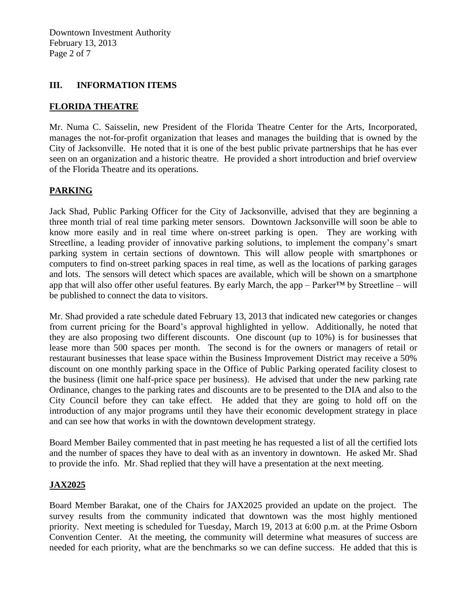Downtown Investment Authority February 13, 2013 Page 2 of 7

#### **III. INFORMATION ITEMS**

#### **FLORIDA THEATRE**

Mr. Numa C. Saisselin, new President of the Florida Theatre Center for the Arts, Incorporated, manages the not-for-profit organization that leases and manages the building that is owned by the City of Jacksonville. He noted that it is one of the best public private partnerships that he has ever seen on an organization and a historic theatre. He provided a short introduction and brief overview of the Florida Theatre and its operations.

## **PARKING**

Jack Shad, Public Parking Officer for the City of Jacksonville, advised that they are beginning a three month trial of real time parking meter sensors. Downtown Jacksonville will soon be able to know more easily and in real time where on-street parking is open. They are working with Streetline, a leading provider of innovative parking solutions, to implement the company's smart parking system in certain sections of downtown. This will allow people with smartphones or computers to find on-street parking spaces in real time, as well as the locations of parking garages and lots. The sensors will detect which spaces are available, which will be shown on a smartphone app that will also offer other useful features. By early March, the app – Parker<sup>TM</sup> by Streetline – will be published to connect the data to visitors.

Mr. Shad provided a rate schedule dated February 13, 2013 that indicated new categories or changes from current pricing for the Board's approval highlighted in yellow. Additionally, he noted that they are also proposing two different discounts. One discount (up to 10%) is for businesses that lease more than 500 spaces per month. The second is for the owners or managers of retail or restaurant businesses that lease space within the Business Improvement District may receive a 50% discount on one monthly parking space in the Office of Public Parking operated facility closest to the business (limit one half-price space per business). He advised that under the new parking rate Ordinance, changes to the parking rates and discounts are to be presented to the DIA and also to the City Council before they can take effect. He added that they are going to hold off on the introduction of any major programs until they have their economic development strategy in place and can see how that works in with the downtown development strategy.

Board Member Bailey commented that in past meeting he has requested a list of all the certified lots and the number of spaces they have to deal with as an inventory in downtown. He asked Mr. Shad to provide the info. Mr. Shad replied that they will have a presentation at the next meeting.

#### **JAX2025**

Board Member Barakat, one of the Chairs for JAX2025 provided an update on the project. The survey results from the community indicated that downtown was the most highly mentioned priority. Next meeting is scheduled for Tuesday, March 19, 2013 at 6:00 p.m. at the Prime Osborn Convention Center. At the meeting, the community will determine what measures of success are needed for each priority, what are the benchmarks so we can define success. He added that this is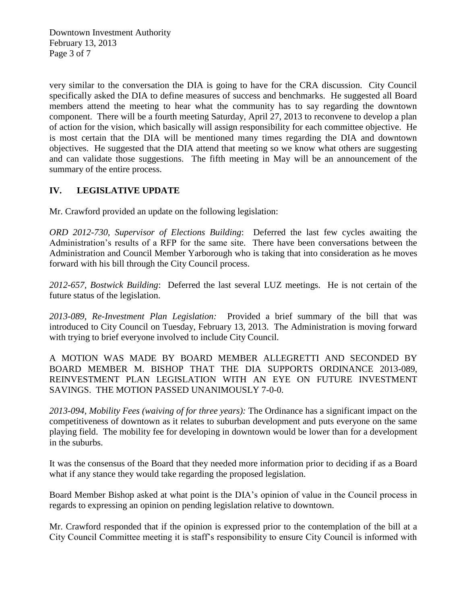Downtown Investment Authority February 13, 2013 Page 3 of 7

very similar to the conversation the DIA is going to have for the CRA discussion. City Council specifically asked the DIA to define measures of success and benchmarks. He suggested all Board members attend the meeting to hear what the community has to say regarding the downtown component. There will be a fourth meeting Saturday, April 27, 2013 to reconvene to develop a plan of action for the vision, which basically will assign responsibility for each committee objective. He is most certain that the DIA will be mentioned many times regarding the DIA and downtown objectives. He suggested that the DIA attend that meeting so we know what others are suggesting and can validate those suggestions. The fifth meeting in May will be an announcement of the summary of the entire process.

## **IV. LEGISLATIVE UPDATE**

Mr. Crawford provided an update on the following legislation:

*ORD 2012-730, Supervisor of Elections Building*: Deferred the last few cycles awaiting the Administration's results of a RFP for the same site. There have been conversations between the Administration and Council Member Yarborough who is taking that into consideration as he moves forward with his bill through the City Council process.

*2012-657, Bostwick Building*: Deferred the last several LUZ meetings. He is not certain of the future status of the legislation.

*2013-089, Re-Investment Plan Legislation:* Provided a brief summary of the bill that was introduced to City Council on Tuesday, February 13, 2013. The Administration is moving forward with trying to brief everyone involved to include City Council.

A MOTION WAS MADE BY BOARD MEMBER ALLEGRETTI AND SECONDED BY BOARD MEMBER M. BISHOP THAT THE DIA SUPPORTS ORDINANCE 2013-089, REINVESTMENT PLAN LEGISLATION WITH AN EYE ON FUTURE INVESTMENT SAVINGS. THE MOTION PASSED UNANIMOUSLY 7-0-0.

*2013-094, Mobility Fees (waiving of for three years):* The Ordinance has a significant impact on the competitiveness of downtown as it relates to suburban development and puts everyone on the same playing field. The mobility fee for developing in downtown would be lower than for a development in the suburbs.

It was the consensus of the Board that they needed more information prior to deciding if as a Board what if any stance they would take regarding the proposed legislation.

Board Member Bishop asked at what point is the DIA's opinion of value in the Council process in regards to expressing an opinion on pending legislation relative to downtown.

Mr. Crawford responded that if the opinion is expressed prior to the contemplation of the bill at a City Council Committee meeting it is staff's responsibility to ensure City Council is informed with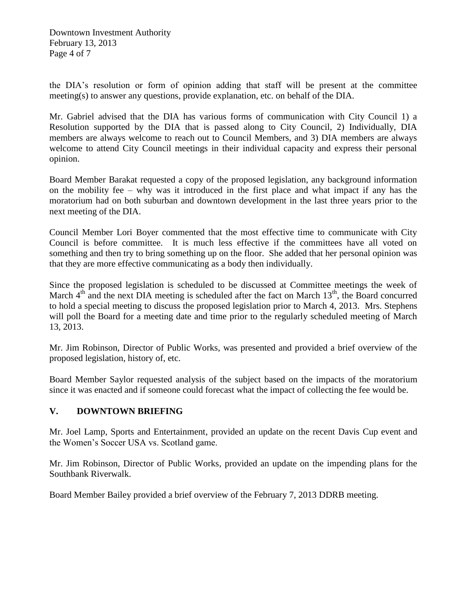Downtown Investment Authority February 13, 2013 Page 4 of 7

the DIA's resolution or form of opinion adding that staff will be present at the committee meeting(s) to answer any questions, provide explanation, etc. on behalf of the DIA.

Mr. Gabriel advised that the DIA has various forms of communication with City Council 1) a Resolution supported by the DIA that is passed along to City Council, 2) Individually, DIA members are always welcome to reach out to Council Members, and 3) DIA members are always welcome to attend City Council meetings in their individual capacity and express their personal opinion.

Board Member Barakat requested a copy of the proposed legislation, any background information on the mobility fee – why was it introduced in the first place and what impact if any has the moratorium had on both suburban and downtown development in the last three years prior to the next meeting of the DIA.

Council Member Lori Boyer commented that the most effective time to communicate with City Council is before committee. It is much less effective if the committees have all voted on something and then try to bring something up on the floor. She added that her personal opinion was that they are more effective communicating as a body then individually.

Since the proposed legislation is scheduled to be discussed at Committee meetings the week of March  $4<sup>th</sup>$  and the next DIA meeting is scheduled after the fact on March  $13<sup>th</sup>$ , the Board concurred to hold a special meeting to discuss the proposed legislation prior to March 4, 2013. Mrs. Stephens will poll the Board for a meeting date and time prior to the regularly scheduled meeting of March 13, 2013.

Mr. Jim Robinson, Director of Public Works, was presented and provided a brief overview of the proposed legislation, history of, etc.

Board Member Saylor requested analysis of the subject based on the impacts of the moratorium since it was enacted and if someone could forecast what the impact of collecting the fee would be.

## **V. DOWNTOWN BRIEFING**

Mr. Joel Lamp, Sports and Entertainment, provided an update on the recent Davis Cup event and the Women's Soccer USA vs. Scotland game.

Mr. Jim Robinson, Director of Public Works, provided an update on the impending plans for the Southbank Riverwalk.

Board Member Bailey provided a brief overview of the February 7, 2013 DDRB meeting.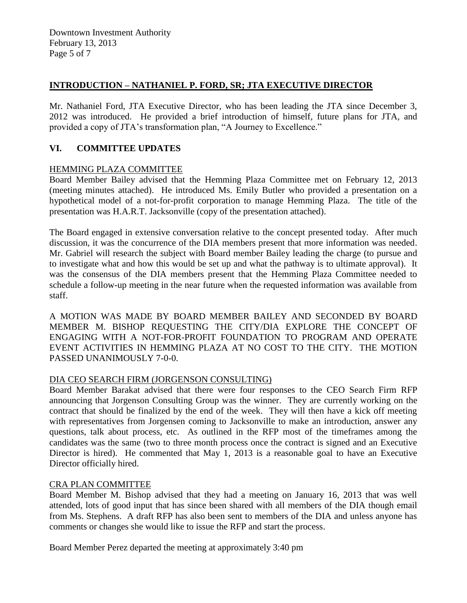## **INTRODUCTION – NATHANIEL P. FORD, SR; JTA EXECUTIVE DIRECTOR**

Mr. Nathaniel Ford, JTA Executive Director, who has been leading the JTA since December 3, 2012 was introduced. He provided a brief introduction of himself, future plans for JTA, and provided a copy of JTA's transformation plan, "A Journey to Excellence."

## **VI. COMMITTEE UPDATES**

## HEMMING PLAZA COMMITTEE

Board Member Bailey advised that the Hemming Plaza Committee met on February 12, 2013 (meeting minutes attached). He introduced Ms. Emily Butler who provided a presentation on a hypothetical model of a not-for-profit corporation to manage Hemming Plaza. The title of the presentation was H.A.R.T. Jacksonville (copy of the presentation attached).

The Board engaged in extensive conversation relative to the concept presented today. After much discussion, it was the concurrence of the DIA members present that more information was needed. Mr. Gabriel will research the subject with Board member Bailey leading the charge (to pursue and to investigate what and how this would be set up and what the pathway is to ultimate approval). It was the consensus of the DIA members present that the Hemming Plaza Committee needed to schedule a follow-up meeting in the near future when the requested information was available from staff.

A MOTION WAS MADE BY BOARD MEMBER BAILEY AND SECONDED BY BOARD MEMBER M. BISHOP REQUESTING THE CITY/DIA EXPLORE THE CONCEPT OF ENGAGING WITH A NOT-FOR-PROFIT FOUNDATION TO PROGRAM AND OPERATE EVENT ACTIVITIES IN HEMMING PLAZA AT NO COST TO THE CITY. THE MOTION PASSED UNANIMOUSLY 7-0-0.

## DIA CEO SEARCH FIRM (JORGENSON CONSULTING)

Board Member Barakat advised that there were four responses to the CEO Search Firm RFP announcing that Jorgenson Consulting Group was the winner. They are currently working on the contract that should be finalized by the end of the week. They will then have a kick off meeting with representatives from Jorgensen coming to Jacksonville to make an introduction, answer any questions, talk about process, etc. As outlined in the RFP most of the timeframes among the candidates was the same (two to three month process once the contract is signed and an Executive Director is hired). He commented that May 1, 2013 is a reasonable goal to have an Executive Director officially hired.

## CRA PLAN COMMITTEE

Board Member M. Bishop advised that they had a meeting on January 16, 2013 that was well attended, lots of good input that has since been shared with all members of the DIA though email from Ms. Stephens. A draft RFP has also been sent to members of the DIA and unless anyone has comments or changes she would like to issue the RFP and start the process.

Board Member Perez departed the meeting at approximately 3:40 pm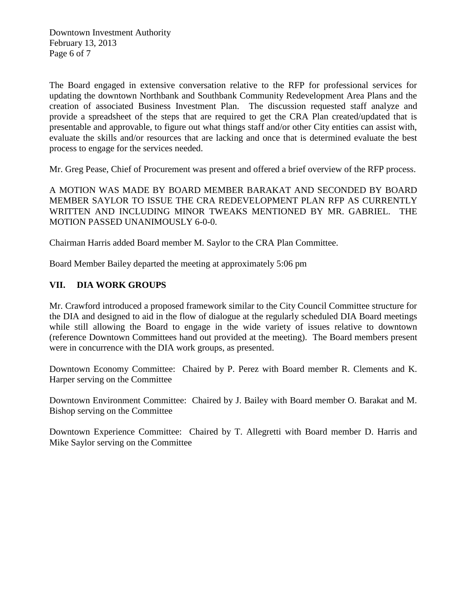The Board engaged in extensive conversation relative to the RFP for professional services for updating the downtown Northbank and Southbank Community Redevelopment Area Plans and the creation of associated Business Investment Plan. The discussion requested staff analyze and provide a spreadsheet of the steps that are required to get the CRA Plan created/updated that is presentable and approvable, to figure out what things staff and/or other City entities can assist with, evaluate the skills and/or resources that are lacking and once that is determined evaluate the best process to engage for the services needed.

Mr. Greg Pease, Chief of Procurement was present and offered a brief overview of the RFP process.

A MOTION WAS MADE BY BOARD MEMBER BARAKAT AND SECONDED BY BOARD MEMBER SAYLOR TO ISSUE THE CRA REDEVELOPMENT PLAN RFP AS CURRENTLY WRITTEN AND INCLUDING MINOR TWEAKS MENTIONED BY MR. GABRIEL. THE MOTION PASSED UNANIMOUSLY 6-0-0.

Chairman Harris added Board member M. Saylor to the CRA Plan Committee.

Board Member Bailey departed the meeting at approximately 5:06 pm

## **VII. DIA WORK GROUPS**

Mr. Crawford introduced a proposed framework similar to the City Council Committee structure for the DIA and designed to aid in the flow of dialogue at the regularly scheduled DIA Board meetings while still allowing the Board to engage in the wide variety of issues relative to downtown (reference Downtown Committees hand out provided at the meeting). The Board members present were in concurrence with the DIA work groups, as presented.

Downtown Economy Committee: Chaired by P. Perez with Board member R. Clements and K. Harper serving on the Committee

Downtown Environment Committee: Chaired by J. Bailey with Board member O. Barakat and M. Bishop serving on the Committee

Downtown Experience Committee: Chaired by T. Allegretti with Board member D. Harris and Mike Saylor serving on the Committee